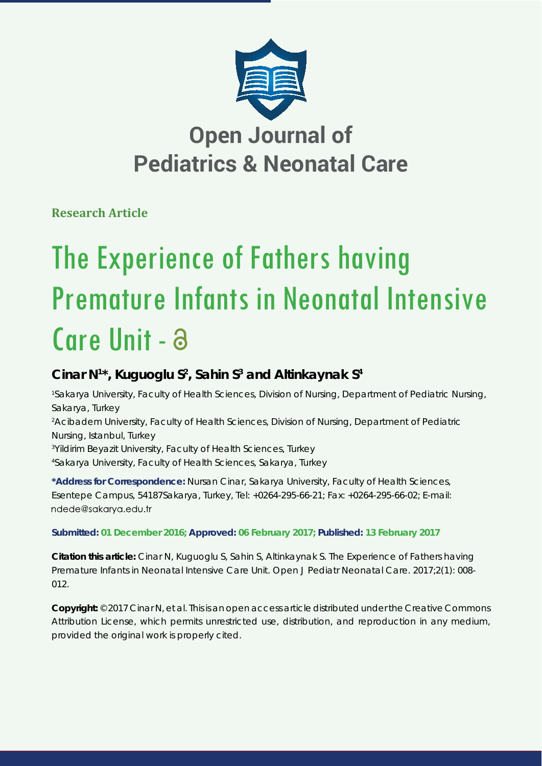

# **Open Journal of Pediatrics & Neonatal Care**

**Research Article**

# The Experience of Fathers having Premature Infants in Neonatal Intensive Care Unit - a

## Cinar N<sup>1\*</sup>, Kuguoglu S<sup>2</sup>, Sahin S<sup>3</sup> and Altinkaynak S<sup>4</sup>

 *Sakarya University, Faculty of Health Sciences, Division of Nursing, Department of Pediatric Nursing, Sakarya, Turkey Acibadem University, Faculty of Health Sciences, Division of Nursing, Department of Pediatric Nursing, Istanbul, Turkey Yildirim Beyazit University, Faculty of Health Sciences, Turkey Sakarya University, Faculty of Health Sciences, Sakarya, Turkey* 

**\*Address for Correspondence:** Nursan Cinar, Sakarya University, Faculty of Health Sciences, Esentepe Campus, 54187Sakarya, Turkey, Tel: +0264-295-66-21; Fax: +0264-295-66-02; E-mail: ndede@sakarya.edu.tr

## **Submitted: 01 December 2016; Approved: 06 February 2017; Published: 13 February 2017**

**Citation this article:** Cinar N, Kuguoglu S, Sahin S, Altinkaynak S. The Experience of Fathers having Premature Infants in Neonatal Intensive Care Unit. Open J Pediatr Neonatal Care. 2017;2(1): 008- 012.

**Copyright:** © 2017 Cinar N, et al. This is an open access article distributed under the Creative Commons Attribution License, which permits unrestricted use, distribution, and reproduction in any medium, provided the original work is properly cited.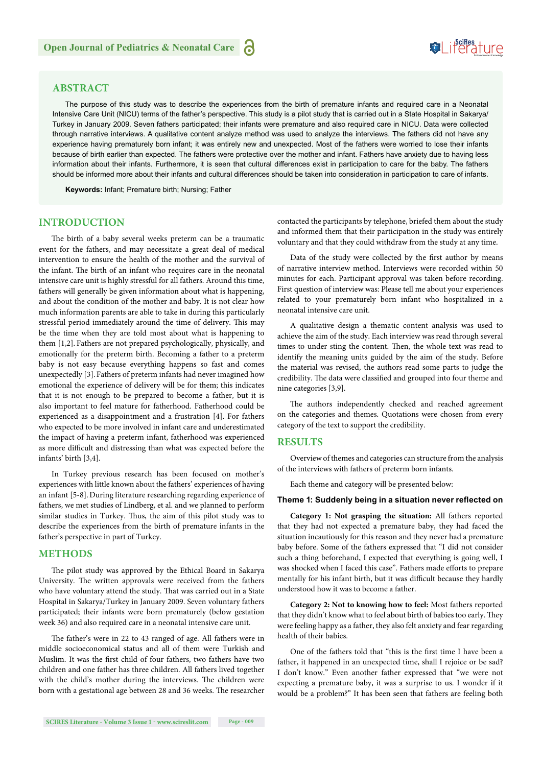### **ABSTRACT**

The purpose of this study was to describe the experiences from the birth of premature infants and required care in a Neonatal Intensive Care Unit (NICU) terms of the father's perspective. This study is a pilot study that is carried out in a State Hospital in Sakarya/ Turkey in January 2009. Seven fathers participated; their infants were premature and also required care in NICU. Data were collected through narrative interviews. A qualitative content analyze method was used to analyze the interviews. The fathers did not have any experience having prematurely born infant; it was entirely new and unexpected. Most of the fathers were worried to lose their infants because of birth earlier than expected. The fathers were protective over the mother and infant. Fathers have anxiety due to having less information about their infants. Furthermore, it is seen that cultural differences exist in participation to care for the baby. The fathers should be informed more about their infants and cultural differences should be taken into consideration in participation to care of infants.

**Keywords:** Infant; Premature birth; Nursing; Father

#### **INTRODUCTION**

The birth of a baby several weeks preterm can be a traumatic event for the fathers, and may necessitate a great deal of medical intervention to ensure the health of the mother and the survival of the infant. The birth of an infant who requires care in the neonatal intensive care unit is highly stressful for all fathers. Around this time, fathers will generally be given information about what is happening, and about the condition of the mother and baby. It is not clear how much information parents are able to take in during this particularly stressful period immediately around the time of delivery. This may be the time when they are told most about what is happening to them [1,2]. Fathers are not prepared psychologically, physically, and emotionally for the preterm birth. Becoming a father to a preterm baby is not easy because everything happens so fast and comes unexpectedly [3].Fathers of preterm infants had never imagined how emotional the experience of delivery will be for them; this indicates that it is not enough to be prepared to become a father, but it is also important to feel mature for fatherhood. Fatherhood could be experienced as a disappointment and a frustration [4]. For fathers who expected to be more involved in infant care and underestimated the impact of having a preterm infant, fatherhood was experienced as more difficult and distressing than what was expected before the infants' birth [3,4].

In Turkey previous research has been focused on mother's experiences with little known about the fathers' experiences of having an infant [5-8].During literature researching regarding experience of fathers, we met studies of Lindberg, et al. and we planned to perform similar studies in Turkey. Thus, the aim of this pilot study was to describe the experiences from the birth of premature infants in the father's perspective in part of Turkey.

#### **METHODS**

The pilot study was approved by the Ethical Board in Sakarya University. The written approvals were received from the fathers who have voluntary attend the study. That was carried out in a State Hospital in Sakarya/Turkey in January 2009. Seven voluntary fathers participated; their infants were born prematurely (below gestation week 36) and also required care in a neonatal intensive care unit.

The father's were in 22 to 43 ranged of age. All fathers were in middle socioeconomical status and all of them were Turkish and Muslim. It was the first child of four fathers, two fathers have two children and one father has three children. All fathers lived together with the child's mother during the interviews. The children were born with a gestational age between 28 and 36 weeks. The researcher contacted the participants by telephone, briefed them about the study and informed them that their participation in the study was entirely voluntary and that they could withdraw from the study at any time.

Data of the study were collected by the first author by means of narrative interview method. Interviews were recorded within 50 minutes for each. Participant approval was taken before recording. First question of interview was: Please tell me about your experiences related to your prematurely born infant who hospitalized in a neonatal intensive care unit.

A qualitative design a thematic content analysis was used to achieve the aim of the study. Each interview was read through several times to under sting the content. Then, the whole text was read to identify the meaning units guided by the aim of the study. Before the material was revised, the authors read some parts to judge the credibility. The data were classified and grouped into four theme and nine categories [3,9].

The authors independently checked and reached agreement on the categories and themes. Quotations were chosen from every category of the text to support the credibility.

#### **RESULTS**

Overview of themes and categories can structure from the analysis of the interviews with fathers of preterm born infants.

Each theme and category will be presented below:

#### Theme 1: Suddenly being in a situation never reflected on

**Category 1: Not grasping the situation:** All fathers reported that they had not expected a premature baby, they had faced the situation incautiously for this reason and they never had a premature baby before. Some of the fathers expressed that "I did not consider such a thing beforehand, I expected that everything is going well, I was shocked when I faced this case". Fathers made efforts to prepare mentally for his infant birth, but it was difficult because they hardly understood how it was to become a father.

**Category 2: Not to knowing how to feel:** Most fathers reported that they didn't know what to feel about birth of babies too early. They were feeling happy as a father, they also felt anxiety and fear regarding health of their babies.

One of the fathers told that "this is the first time I have been a father, it happened in an unexpected time, shall I rejoice or be sad? I don't know." Even another father expressed that "we were not expecting a premature baby, it was a surprise to us. I wonder if it would be a problem?" It has been seen that fathers are feeling both

# **SeiRes** ture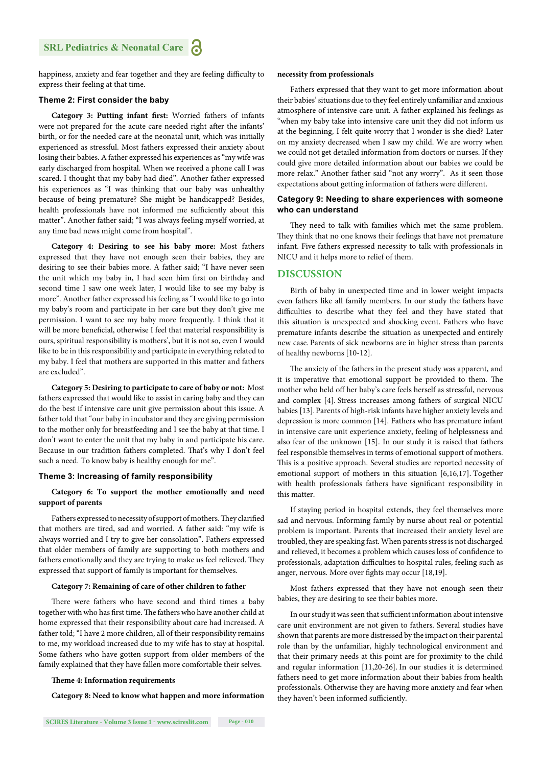happiness, anxiety and fear together and they are feeling difficulty to express their feeling at that time.

#### **Theme 2: First consider the baby**

Category 3: Putting infant first: Worried fathers of infants were not prepared for the acute care needed right after the infants' birth, or for the needed care at the neonatal unit, which was initially experienced as stressful. Most fathers expressed their anxiety about losing their babies. A father expressed his experiences as "my wife was early discharged from hospital. When we received a phone call I was scared. I thought that my baby had died". Another father expressed his experiences as "I was thinking that our baby was unhealthy because of being premature? She might be handicapped? Besides, health professionals have not informed me sufficiently about this matter". Another father said; "I was always feeling myself worried, at any time bad news might come from hospital".

**Category 4: Desiring to see his baby more:** Most fathers expressed that they have not enough seen their babies, they are desiring to see their babies more. A father said; "I have never seen the unit which my baby in, I had seen him first on birthday and second time I saw one week later, I would like to see my baby is more". Another father expressed his feeling as "I would like to go into my baby's room and participate in her care but they don't give me permission. I want to see my baby more frequently. I think that it will be more beneficial, otherwise I feel that material responsibility is ours, spiritual responsibility is mothers', but it is not so, even I would like to be in this responsibility and participate in everything related to my baby. I feel that mothers are supported in this matter and fathers are excluded".

**Category 5: Desiring to participate to care of baby or not:** Most fathers expressed that would like to assist in caring baby and they can do the best if intensive care unit give permission about this issue. A father told that "our baby in incubator and they are giving permission to the mother only for breastfeeding and I see the baby at that time. I don't want to enter the unit that my baby in and participate his care. Because in our tradition fathers completed. That's why I don't feel such a need. To know baby is healthy enough for me".

#### **Theme 3: Increasing of family responsibility**

#### **Category 6: To support the mother emotionally and need support of parents**

Fathers expressed to necessity of support of mothers. They clarified that mothers are tired, sad and worried. A father said: "my wife is always worried and I try to give her consolation". Fathers expressed that older members of family are supporting to both mothers and fathers emotionally and they are trying to make us feel relieved. They expressed that support of family is important for themselves.

#### **Category 7: Remaining of care of other children to father**

There were fathers who have second and third times a baby together with who has first time. The fathers who have another child at home expressed that their responsibility about care had increased. A father told; "I have 2 more children, all of their responsibility remains to me, my workload increased due to my wife has to stay at hospital. Some fathers who have gotten support from older members of the family explained that they have fallen more comfortable their selves.

#### **Theme 4: Information requirements**

**Category 8: Need to know what happen and more information** 

#### **necessity from professionals**

Fathers expressed that they want to get more information about their babies' situations due to they feel entirely unfamiliar and anxious atmosphere of intensive care unit. A father explained his feelings as "when my baby take into intensive care unit they did not inform us at the beginning, I felt quite worry that I wonder is she died? Later on my anxiety decreased when I saw my child. We are worry when we could not get detailed information from doctors or nurses. If they could give more detailed information about our babies we could be more relax." Another father said "not any worry". As it seen those expectations about getting information of fathers were different.

#### **Category 9: Needing to share experiences with someone who can understand**

They need to talk with families which met the same problem. They think that no one knows their feelings that have not premature infant. Five fathers expressed necessity to talk with professionals in NICU and it helps more to relief of them.

#### **DISCUSSION**

Birth of baby in unexpected time and in lower weight impacts even fathers like all family members. In our study the fathers have difficulties to describe what they feel and they have stated that this situation is unexpected and shocking event. Fathers who have premature infants describe the situation as unexpected and entirely new case. Parents of sick newborns are in higher stress than parents of healthy newborns [10-12].

The anxiety of the fathers in the present study was apparent, and it is imperative that emotional support be provided to them. The mother who held off her baby's care feels herself as stressful, nervous and complex [4]. Stress increases among fathers of surgical NICU babies [13].Parents of high-risk infants have higher anxiety levels and depression is more common [14]. Fathers who has premature infant in intensive care unit experience anxiety, feeling of helplessness and also fear of the unknown [15]. In our study it is raised that fathers feel responsible themselves in terms of emotional support of mothers. This is a positive approach. Several studies are reported necessity of emotional support of mothers in this situation [6,16,17]. Together with health professionals fathers have significant responsibility in this matter.

If staying period in hospital extends, they feel themselves more sad and nervous. Informing family by nurse about real or potential problem is important. Parents that increased their anxiety level are troubled, they are speaking fast. When parents stress is not discharged and relieved, it becomes a problem which causes loss of confidence to professionals, adaptation difficulties to hospital rules, feeling such as anger, nervous. More over fights may occur [18,19].

Most fathers expressed that they have not enough seen their babies, they are desiring to see their babies more.

In our study it was seen that sufficient information about intensive care unit environment are not given to fathers. Several studies have shown that parents are more distressed by the impact on their parental role than by the unfamiliar, highly technological environment and that their primary needs at this point are for proximity to the child and regular information [11,20-26]. In our studies it is determined fathers need to get more information about their babies from health professionals. Otherwise they are having more anxiety and fear when they haven't been informed sufficiently.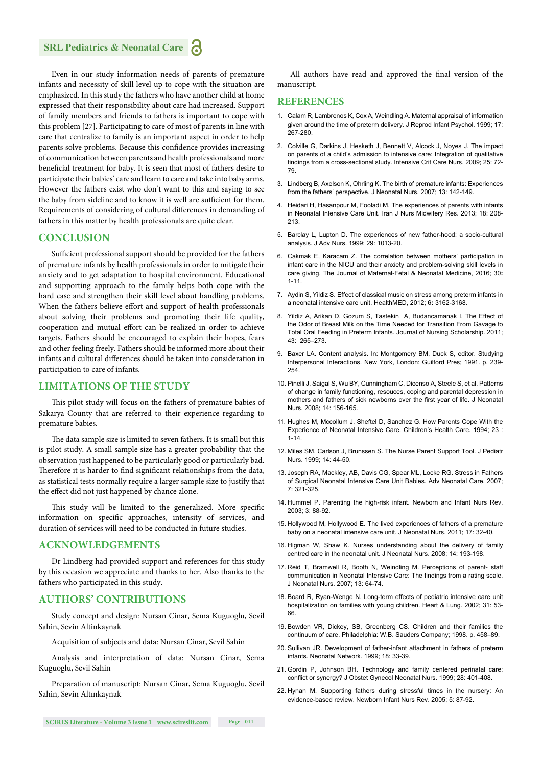## **SRL Pediatrics & Neonatal Care**

Even in our study information needs of parents of premature infants and necessity of skill level up to cope with the situation are emphasized. In this study the fathers who have another child at home expressed that their responsibility about care had increased. Support of family members and friends to fathers is important to cope with this problem [27]. Participating to care of most of parents in line with care that centralize to family is an important aspect in order to help parents solve problems. Because this confidence provides increasing of communication between parents and health professionals and more beneficial treatment for baby. It is seen that most of fathers desire to participate their babies' care and learn to care and take into baby arms. However the fathers exist who don't want to this and saying to see the baby from sideline and to know it is well are sufficient for them. Requirements of considering of cultural differences in demanding of fathers in this matter by health professionals are quite clear.

#### **CONCLUSION**

Sufficient professional support should be provided for the fathers of premature infants by health professionals in order to mitigate their anxiety and to get adaptation to hospital environment. Educational and supporting approach to the family helps both cope with the hard case and strengthen their skill level about handling problems. When the fathers believe effort and support of health professionals about solving their problems and promoting their life quality, cooperation and mutual effort can be realized in order to achieve targets. Fathers should be encouraged to explain their hopes, fears and other feeling freely. Fathers should be informed more about their infants and cultural differences should be taken into consideration in participation to care of infants.

#### **LIMITATIONS OF THE STUDY**

This pilot study will focus on the fathers of premature babies of Sakarya County that are referred to their experience regarding to premature babies.

The data sample size is limited to seven fathers. It is small but this is pilot study. A small sample size has a greater probability that the observation just happened to be particularly good or particularly bad. Therefore it is harder to find significant relationships from the data, as statistical tests normally require a larger sample size to justify that the effect did not just happened by chance alone.

This study will be limited to the generalized. More specific information on specific approaches, intensity of services, and duration of services will need to be conducted in future studies.

## **ACKNOWLEDGEMENTS**

Dr Lindberg had provided support and references for this study by this occasion we appreciate and thanks to her. Also thanks to the fathers who participated in this study.

#### **AUTHORS' CONTRIBUTIONS**

Study concept and design: Nursan Cinar, Sema Kuguoglu, Sevil Sahin, Sevin Altinkaynak

Acquisition of subjects and data: Nursan Cinar, Sevil Sahin

Analysis and interpretation of data: Nursan Cinar, Sema Kuguoglu, Sevil Sahin

Preparation of manuscript: Nursan Cinar, Sema Kuguoglu, Sevil Sahin, Sevin Altınkaynak

All authors have read and approved the final version of the manuscript.

#### **REFERENCES**

- 1. Calam R, Lambrenos K, Cox A, Weindling A. Maternal appraisal of information given around the time of preterm delivery. J Reprod Infant Psychol. 1999; 17: 267-280.
- 2. Colville G, Darkins J, Hesketh J, Bennett V, Alcock J, Noyes J. The impact on parents of a child's admission to intensive care: Integration of qualitative findings from a cross-sectional study. Intensive Crit Care Nurs. 2009; 25: 72-79.
- 3. Lindberg B, Axelson K, Ohrling K. The birth of premature infants: Experiences from the fathers' perspective. J Neonatal Nurs. 2007; 13: 142-149.
- 4. Heidari H, Hasanpour M, Fooladi M. The experiences of parents with infants in Neonatal Intensive Care Unit. Iran J Nurs Midwifery Res. 2013; 18: 208- 213.
- 5. Barclay L, Lupton D. The experiences of new father-hood: a socio-cultural analysis. J Adv Nurs. 1999; 29: 1013-20.
- 6. Cakmak E, Karacam Z. The correlation between mothers' participation in infant care in the NICU and their anxiety and problem-solving skill levels in care giving. The Journal of Maternal-Fetal & Neonatal Medicine, 2016; 30**:** 1-11.
- 7. Aydin S, Yildiz S. Effect of classical music on stress among preterm infants in a neonatal intensive care unit. HealthMED, 2012; 6**:** 3162-3168.
- 8. Yildiz A, Arikan D, Gozum S, Tastekin A, Budancamanak I. The Effect of the Odor of Breast Milk on the Time Needed for Transition From Gavage to Total Oral Feeding in Preterm Infants. Journal of Nursing Scholarship. 2011; 43: 265–273.
- 9. Baxer LA. Content analysis. In: Montgomery BM, Duck S, editor. Studying Interpersonal Interactions. New York, London: Guilford Pres; 1991. p. 239- 254.
- 10. Pinelli J, Saigal S, Wu BY, Cunningham C, Dicenso A, Steele S, et al. Patterns of change in family functioning, resouces, coping and parental depression in mothers and fathers of sick newborns over the first year of life. J Neonatal Nurs. 2008; 14: 156-165.
- 11. Hughes M, Mccollum J, Sheftel D, Sanchez G. How Parents Cope With the Experience of Neonatal Intensive Care. Children's Health Care. 1994; 23 :  $1 - 14$
- 12. Miles SM, Carlson J, Brunssen S. The Nurse Parent Support Tool. J Pediatr Nurs. 1999; 14: 44-50.
- 13. Joseph RA, Mackley, AB, Davis CG, Spear ML, Locke RG. Stress in Fathers of Surgical Neonatal Intensive Care Unit Babies. Adv Neonatal Care. 2007; 7: 321-325.
- 14. Hummel P. Parenting the high-risk infant. Newborn and Infant Nurs Rev. 2003; 3: 88-92.
- 15. Hollywood M, Hollywood E. The lived experiences of fathers of a premature baby on a neonatal intensive care unit. J Neonatal Nurs. 2011; 17: 32-40.
- 16. Higman W, Shaw K. Nurses understanding about the delivery of family centred care in the neonatal unit. J Neonatal Nurs. 2008; 14: 193-198.
- 17. Reid T, Bramwell R, Booth N, Weindling M. Perceptions of parent- staff communication in Neonatal Intensive Care: The findings from a rating scale. J Neonatal Nurs. 2007; 13: 64-74.
- 18. Board R, Ryan-Wenge N. Long-term effects of pediatric intensive care unit hospitalization on families with young children. Heart & Lung. 2002; 31: 53- 66.
- 19. Bowden VR, Dickey, SB, Greenberg CS. Children and their families the continuum of care. Philadelphia: W.B. Sauders Company; 1998. p. 458–89.
- 20. Sullivan JR. Development of father-infant attachment in fathers of preterm infants. Neonatal Network. 1999; 18: 33-39.
- 21. Gordin P, Johnson BH. Technology and family centered perinatal care: conflict or synergy? J Obstet Gynecol Neonatal Nurs. 1999; 28: 401-408.
- 22. Hynan M. Supporting fathers during stressful times in the nursery: An evidence-based review. Newborn Infant Nurs Rev. 2005; 5: 87-92.